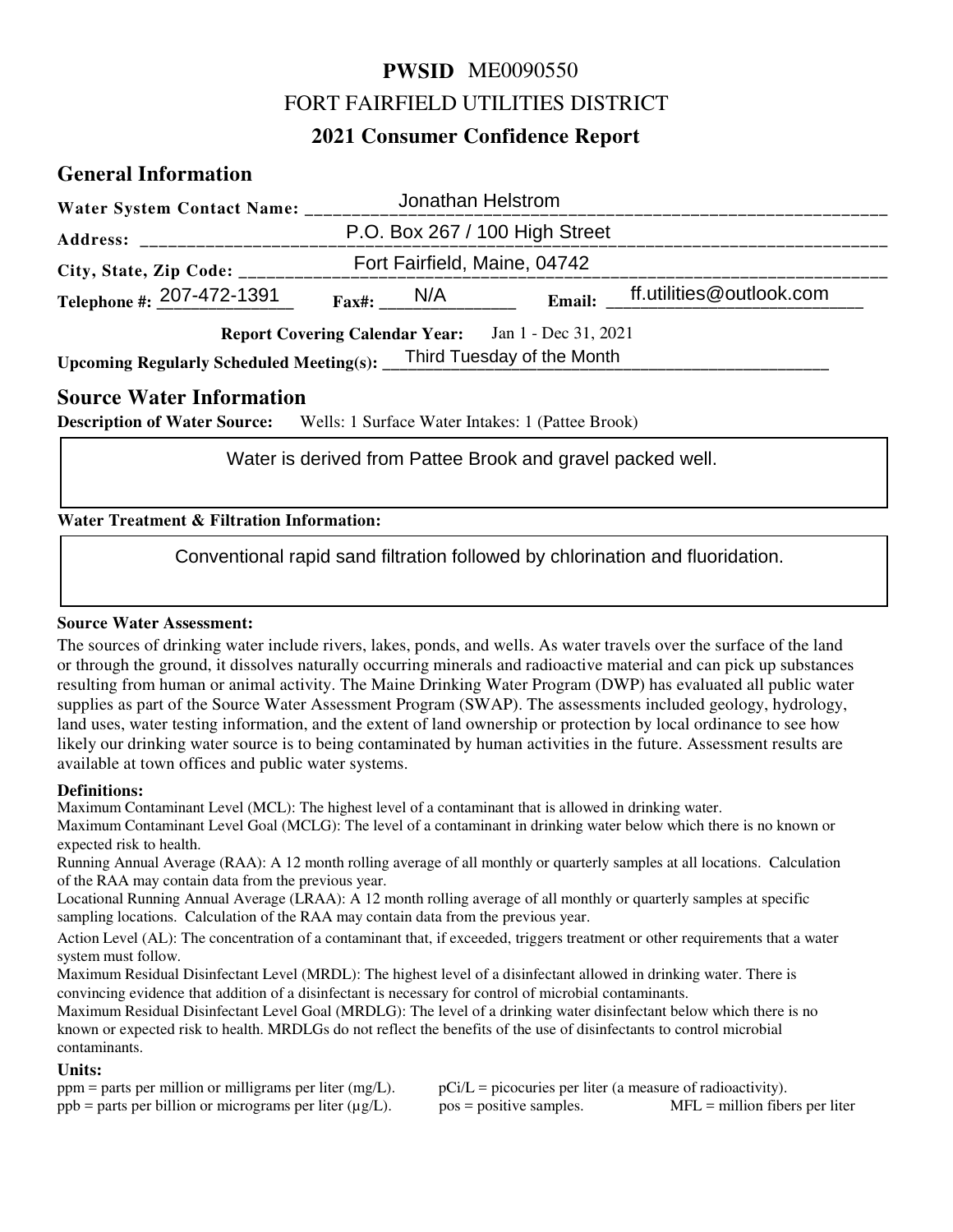# **PWSID** ME0090550 FORT FAIRFIELD UTILITIES DISTRICT

# **2021 Consumer Confidence Report**

# **General Information**

| Water System Contact Name: _______                         |               |  | Jonathan Helstrom              |                                 |  |
|------------------------------------------------------------|---------------|--|--------------------------------|---------------------------------|--|
| <b>Address:</b>                                            |               |  | P.O. Box 267 / 100 High Street |                                 |  |
| City, State, Zip Code: ____                                |               |  | Fort Fairfield, Maine, 04742   |                                 |  |
| Telephone #: $207-472-1391$                                | $Fax\#$ : N/A |  |                                | Email: ff.utilities@outlook.com |  |
| <b>Report Covering Calendar Year:</b> Jan 1 - Dec 31, 2021 |               |  |                                |                                 |  |
| <b>Upcoming Regularly Scheduled Meeting(s):</b>            |               |  | Third Tuesday of the Month     |                                 |  |

## **Source Water Information**

**Description of Water Source:** Wells: 1 Surface Water Intakes: 1 (Pattee Brook)

#### **Water Treatment & Filtration Information:**

Water is derived from Pattee Brook and gravel packed well.<br>
Int & Filtration Information:<br>
Conventional rapid sand filtration followed by chlorination and fluoridation.

#### **Source Water Assessment:**

The sources of drinking water include rivers, lakes, ponds, and wells. As water travels over the surface of the land or through the ground, it dissolves naturally occurring minerals and radioactive material and can pick up substances resulting from human or animal activity. The Maine Drinking Water Program (DWP) has evaluated all public water supplies as part of the Source Water Assessment Program (SWAP). The assessments included geology, hydrology, land uses, water testing information, and the extent of land ownership or protection by local ordinance to see how likely our drinking water source is to being contaminated by human activities in the future. Assessment results are available at town offices and public water systems.

#### **Definitions:**

Maximum Contaminant Level (MCL): The highest level of a contaminant that is allowed in drinking water.

Maximum Contaminant Level Goal (MCLG): The level of a contaminant in drinking water below which there is no known or expected risk to health.

Running Annual Average (RAA): A 12 month rolling average of all monthly or quarterly samples at all locations. Calculation of the RAA may contain data from the previous year.

Locational Running Annual Average (LRAA): A 12 month rolling average of all monthly or quarterly samples at specific sampling locations. Calculation of the RAA may contain data from the previous year.

Action Level (AL): The concentration of a contaminant that, if exceeded, triggers treatment or other requirements that a water system must follow.

Maximum Residual Disinfectant Level (MRDL): The highest level of a disinfectant allowed in drinking water. There is convincing evidence that addition of a disinfectant is necessary for control of microbial contaminants.

Maximum Residual Disinfectant Level Goal (MRDLG): The level of a drinking water disinfectant below which there is no known or expected risk to health. MRDLGs do not reflect the benefits of the use of disinfectants to control microbial contaminants.

#### **Units:**

| $ppm$ = parts per million or milligrams per liter (mg/L).       | $pCi/L = picocuries per liter (a measure of radioactivity).$ |                                  |
|-----------------------------------------------------------------|--------------------------------------------------------------|----------------------------------|
| $ppb$ = parts per billion or micrograms per liter ( $\mu$ g/L). | $pos = positive samples.$                                    | $MFL =$ million fibers per liter |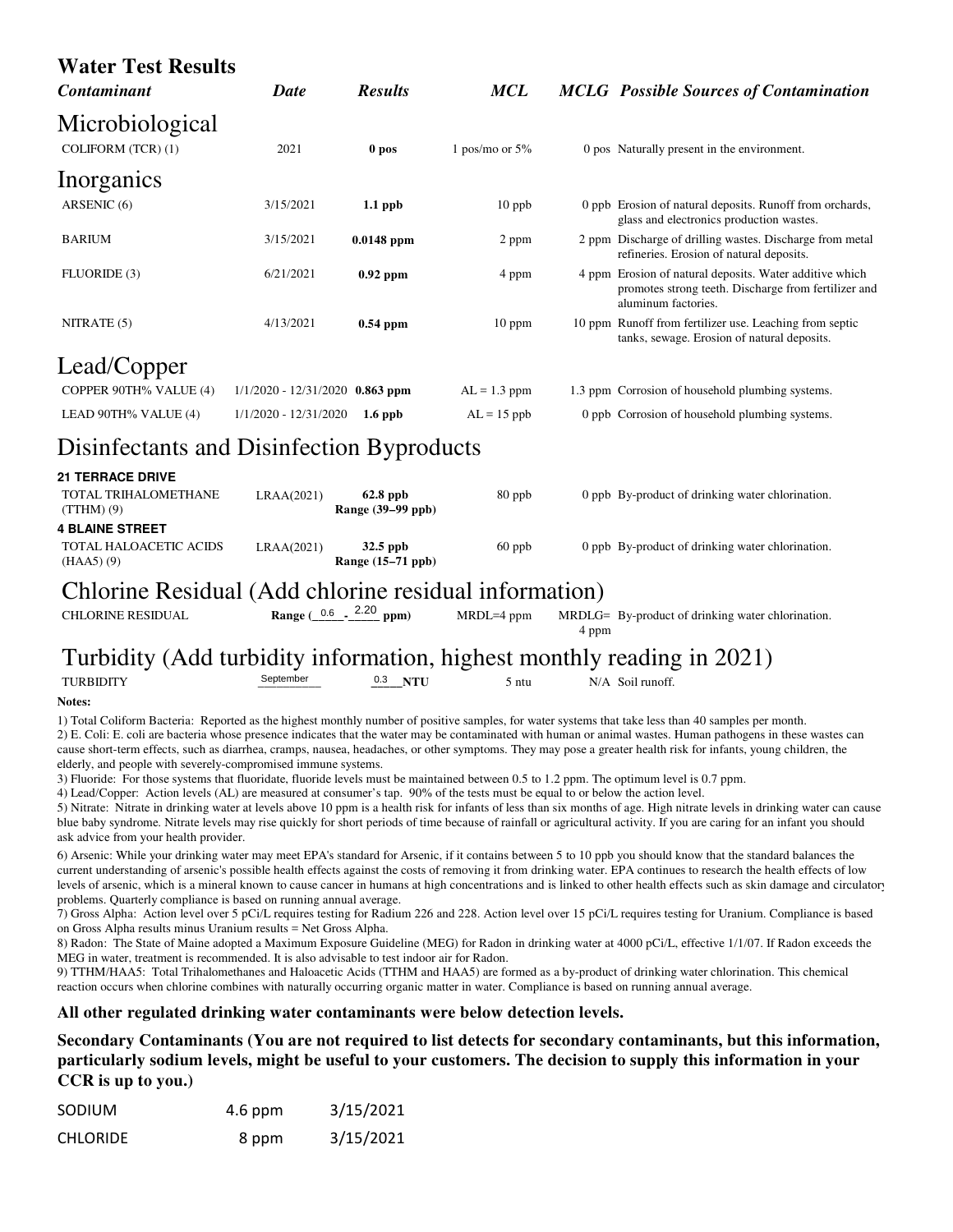| <b>Water Test Results</b>                                                                                                                                                                                                                                                                                                                                                             |                                                 |                               |                  |       |                                                                                                                                                                                                                                                                                                                                                                                                                                                                                                                                                                                                                                                                                                                                                                                                                                                                                                                                                                                                     |
|---------------------------------------------------------------------------------------------------------------------------------------------------------------------------------------------------------------------------------------------------------------------------------------------------------------------------------------------------------------------------------------|-------------------------------------------------|-------------------------------|------------------|-------|-----------------------------------------------------------------------------------------------------------------------------------------------------------------------------------------------------------------------------------------------------------------------------------------------------------------------------------------------------------------------------------------------------------------------------------------------------------------------------------------------------------------------------------------------------------------------------------------------------------------------------------------------------------------------------------------------------------------------------------------------------------------------------------------------------------------------------------------------------------------------------------------------------------------------------------------------------------------------------------------------------|
| Contaminant                                                                                                                                                                                                                                                                                                                                                                           | <b>Date</b>                                     | <b>Results</b>                | <b>MCL</b>       |       | <b>MCLG</b> Possible Sources of Contamination                                                                                                                                                                                                                                                                                                                                                                                                                                                                                                                                                                                                                                                                                                                                                                                                                                                                                                                                                       |
| Microbiological<br>COLIFORM (TCR) (1)                                                                                                                                                                                                                                                                                                                                                 | 2021                                            | 0 pos                         | 1 pos/mo or $5%$ |       | 0 pos Naturally present in the environment.                                                                                                                                                                                                                                                                                                                                                                                                                                                                                                                                                                                                                                                                                                                                                                                                                                                                                                                                                         |
| Inorganics                                                                                                                                                                                                                                                                                                                                                                            |                                                 |                               |                  |       |                                                                                                                                                                                                                                                                                                                                                                                                                                                                                                                                                                                                                                                                                                                                                                                                                                                                                                                                                                                                     |
| ARSENIC (6)                                                                                                                                                                                                                                                                                                                                                                           | 3/15/2021                                       | $1.1$ ppb                     | $10$ ppb         |       | 0 ppb Erosion of natural deposits. Runoff from orchards,<br>glass and electronics production wastes.                                                                                                                                                                                                                                                                                                                                                                                                                                                                                                                                                                                                                                                                                                                                                                                                                                                                                                |
| <b>BARIUM</b>                                                                                                                                                                                                                                                                                                                                                                         | 3/15/2021                                       | $0.0148$ ppm                  | 2 ppm            |       | 2 ppm Discharge of drilling wastes. Discharge from metal<br>refineries. Erosion of natural deposits.                                                                                                                                                                                                                                                                                                                                                                                                                                                                                                                                                                                                                                                                                                                                                                                                                                                                                                |
| FLUORIDE (3)                                                                                                                                                                                                                                                                                                                                                                          | 6/21/2021                                       | $0.92$ ppm                    | 4 ppm            |       | 4 ppm Erosion of natural deposits. Water additive which<br>promotes strong teeth. Discharge from fertilizer and<br>aluminum factories.                                                                                                                                                                                                                                                                                                                                                                                                                                                                                                                                                                                                                                                                                                                                                                                                                                                              |
| NITRATE (5)                                                                                                                                                                                                                                                                                                                                                                           | 4/13/2021                                       | $0.54$ ppm                    | 10 ppm           |       | 10 ppm Runoff from fertilizer use. Leaching from septic<br>tanks, sewage. Erosion of natural deposits.                                                                                                                                                                                                                                                                                                                                                                                                                                                                                                                                                                                                                                                                                                                                                                                                                                                                                              |
| Lead/Copper                                                                                                                                                                                                                                                                                                                                                                           |                                                 |                               |                  |       |                                                                                                                                                                                                                                                                                                                                                                                                                                                                                                                                                                                                                                                                                                                                                                                                                                                                                                                                                                                                     |
| COPPER 90TH% VALUE (4)                                                                                                                                                                                                                                                                                                                                                                | $1/1/2020 - 12/31/2020$ 0.863 ppm               |                               | $AL = 1.3$ ppm   |       | 1.3 ppm Corrosion of household plumbing systems.                                                                                                                                                                                                                                                                                                                                                                                                                                                                                                                                                                                                                                                                                                                                                                                                                                                                                                                                                    |
| LEAD 90TH% VALUE (4)                                                                                                                                                                                                                                                                                                                                                                  | 1/1/2020 - 12/31/2020                           | $1.6$ ppb                     | $AL = 15$ ppb    |       | 0 ppb Corrosion of household plumbing systems.                                                                                                                                                                                                                                                                                                                                                                                                                                                                                                                                                                                                                                                                                                                                                                                                                                                                                                                                                      |
| Disinfectants and Disinfection Byproducts                                                                                                                                                                                                                                                                                                                                             |                                                 |                               |                  |       |                                                                                                                                                                                                                                                                                                                                                                                                                                                                                                                                                                                                                                                                                                                                                                                                                                                                                                                                                                                                     |
| <b>21 TERRACE DRIVE</b>                                                                                                                                                                                                                                                                                                                                                               |                                                 |                               |                  |       |                                                                                                                                                                                                                                                                                                                                                                                                                                                                                                                                                                                                                                                                                                                                                                                                                                                                                                                                                                                                     |
| TOTAL TRIHALOMETHANE<br>$(TTHM)$ $(9)$                                                                                                                                                                                                                                                                                                                                                | LRAA(2021)                                      | 62.8 ppb<br>Range (39-99 ppb) | 80 ppb           |       | 0 ppb By-product of drinking water chlorination.                                                                                                                                                                                                                                                                                                                                                                                                                                                                                                                                                                                                                                                                                                                                                                                                                                                                                                                                                    |
| <b>4 BLAINE STREET</b><br>TOTAL HALOACETIC ACIDS<br>(HAA5) (9)                                                                                                                                                                                                                                                                                                                        | LRAA(2021)                                      | 32.5 ppb<br>Range (15–71 ppb) | $60$ ppb         |       | 0 ppb By-product of drinking water chlorination.                                                                                                                                                                                                                                                                                                                                                                                                                                                                                                                                                                                                                                                                                                                                                                                                                                                                                                                                                    |
| Chlorine Residual (Add chlorine residual information)                                                                                                                                                                                                                                                                                                                                 |                                                 |                               |                  |       |                                                                                                                                                                                                                                                                                                                                                                                                                                                                                                                                                                                                                                                                                                                                                                                                                                                                                                                                                                                                     |
| <b>CHLORINE RESIDUAL</b>                                                                                                                                                                                                                                                                                                                                                              | Range $(\frac{0.6}{10} - \frac{2.20}{10})$ ppm) |                               | MRDL=4 ppm       | 4 ppm | MRDLG= By-product of drinking water chlorination.                                                                                                                                                                                                                                                                                                                                                                                                                                                                                                                                                                                                                                                                                                                                                                                                                                                                                                                                                   |
| Turbidity (Add turbidity information, highest monthly reading in 2021)                                                                                                                                                                                                                                                                                                                |                                                 |                               |                  |       |                                                                                                                                                                                                                                                                                                                                                                                                                                                                                                                                                                                                                                                                                                                                                                                                                                                                                                                                                                                                     |
| <b>TURBIDITY</b>                                                                                                                                                                                                                                                                                                                                                                      | September                                       | $0.3$ NTU                     | 5 ntu            |       | N/A Soil runoff.                                                                                                                                                                                                                                                                                                                                                                                                                                                                                                                                                                                                                                                                                                                                                                                                                                                                                                                                                                                    |
| Notes:                                                                                                                                                                                                                                                                                                                                                                                |                                                 |                               |                  |       |                                                                                                                                                                                                                                                                                                                                                                                                                                                                                                                                                                                                                                                                                                                                                                                                                                                                                                                                                                                                     |
| elderly, and people with severely-compromised immune systems.<br>3) Fluoride: For those systems that fluoridate, fluoride levels must be maintained between 0.5 to 1.2 ppm. The optimum level is 0.7 ppm.<br>4) Lead/Copper: Action levels (AL) are measured at consumer's tap. 90% of the tests must be equal to or below the action level.<br>ask advice from your health provider. |                                                 |                               |                  |       | 1) Total Coliform Bacteria: Reported as the highest monthly number of positive samples, for water systems that take less than 40 samples per month.<br>2) E. Coli: E. coli are bacteria whose presence indicates that the water may be contaminated with human or animal wastes. Human pathogens in these wastes can<br>cause short-term effects, such as diarrhea, cramps, nausea, headaches, or other symptoms. They may pose a greater health risk for infants, young children, the<br>5) Nitrate: Nitrate in drinking water at levels above 10 ppm is a health risk for infants of less than six months of age. High nitrate levels in drinking water can cause<br>blue baby syndrome. Nitrate levels may rise quickly for short periods of time because of rainfall or agricultural activity. If you are caring for an infant you should                                                                                                                                                       |
| problems. Quarterly compliance is based on running annual average.<br>on Gross Alpha results minus Uranium results = Net Gross Alpha.<br>MEG in water, treatment is recommended. It is also advisable to test indoor air for Radon.<br>reaction occurs when chlorine combines with naturally occurring organic matter in water. Compliance is based on running annual average.        |                                                 |                               |                  |       | 6) Arsenic: While your drinking water may meet EPA's standard for Arsenic, if it contains between 5 to 10 ppb you should know that the standard balances the<br>current understanding of arsenic's possible health effects against the costs of removing it from drinking water. EPA continues to research the health effects of low<br>levels of arsenic, which is a mineral known to cause cancer in humans at high concentrations and is linked to other health effects such as skin damage and circulatory<br>7) Gross Alpha: Action level over 5 pCi/L requires testing for Radium 226 and 228. Action level over 15 pCi/L requires testing for Uranium. Compliance is based<br>8) Radon: The State of Maine adopted a Maximum Exposure Guideline (MEG) for Radon in drinking water at 4000 pCi/L, effective 1/1/07. If Radon exceeds the<br>9) TTHM/HAA5: Total Trihalomethanes and Haloacetic Acids (TTHM and HAA5) are formed as a by-product of drinking water chlorination. This chemical |
| All other regulated drinking water contaminants were below detection levels.                                                                                                                                                                                                                                                                                                          |                                                 |                               |                  |       |                                                                                                                                                                                                                                                                                                                                                                                                                                                                                                                                                                                                                                                                                                                                                                                                                                                                                                                                                                                                     |
|                                                                                                                                                                                                                                                                                                                                                                                       |                                                 |                               |                  |       | Secondary Contaminants (You are not required to list detects for secondary contaminants, but this information,                                                                                                                                                                                                                                                                                                                                                                                                                                                                                                                                                                                                                                                                                                                                                                                                                                                                                      |

**Secondary Contaminants (You are not required to list detects for secondary contaminants, but this information, particularly sodium levels, might be useful to your customers. The decision to supply this information in your CCR is up to you.)**

| <b>SODIUM</b>   | $4.6$ ppm | 3/15/2021 |
|-----------------|-----------|-----------|
| <b>CHLORIDE</b> | 8 ppm     | 3/15/2021 |